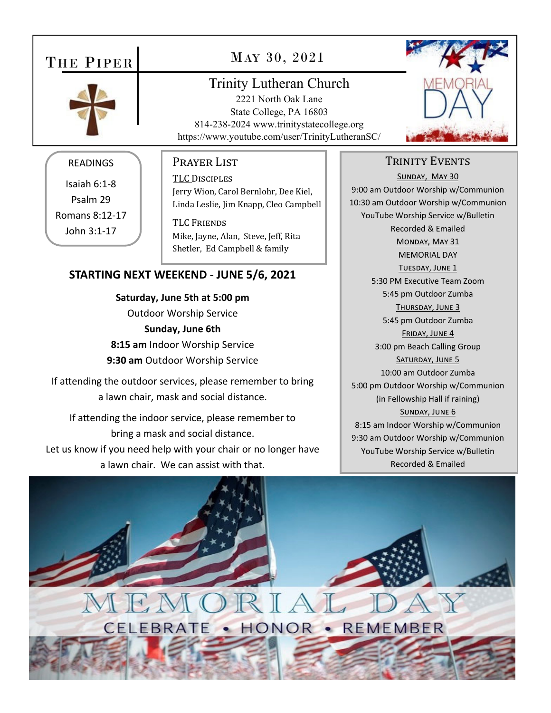# THE PIPER



# MAY 30, 2021

# Trinity Lutheran Church

2221 North Oak Lane State College, PA 16803 814-238-2024 www.trinitystatecollege.org https://www.youtube.com/user/TrinityLutheranSC/



#### READINGS

Isaiah 6:1‐8 Psalm 29 Romans 8:12‐17 John 3:1‐17

#### Prayer List

TLC DISCIPLES Jerry Wion, Carol Bernlohr, Dee Kiel, Linda Leslie, Jim Knapp, Cleo Campbell

**TLC FRIENDS** Mike, Jayne, Alan, Steve, Jeff, Rita Shetler, Ed Campbell & family

#### **STARTING NEXT WEEKEND ‐ JUNE 5/6, 2021**

**Saturday, June 5th at 5:00 pm** Outdoor Worship Service **Sunday, June 6th 8:15 am** Indoor Worship Service **9:30 am** Outdoor Worship Service

If attending the outdoor services, please remember to bring a lawn chair, mask and social distance.

If attending the indoor service, please remember to bring a mask and social distance. Let us know if you need help with your chair or no longer have a lawn chair. We can assist with that.

#### TRINITY EVENTS

SUNDAY, MAY 30 9:00 am Outdoor Worship w/Communion 10:30 am Outdoor Worship w/Communion YouTube Worship Service w/Bulletin Recorded & Emailed MONDAY, MAY 31 MEMORIAL DAY TUESDAY, JUNE 1 5:30 PM Executive Team Zoom 5:45 pm Outdoor Zumba THURSDAY, JUNE 3 5:45 pm Outdoor Zumba FRIDAY, JUNE 4 3:00 pm Beach Calling Group SATURDAY, JUNE 5 10:00 am Outdoor Zumba 5:00 pm Outdoor Worship w/Communion (in Fellowship Hall if raining) SUNDAY, JUNE 6 8:15 am Indoor Worship w/Communion 9:30 am Outdoor Worship w/Communion YouTube Worship Service w/Bulletin Recorded & Emailed